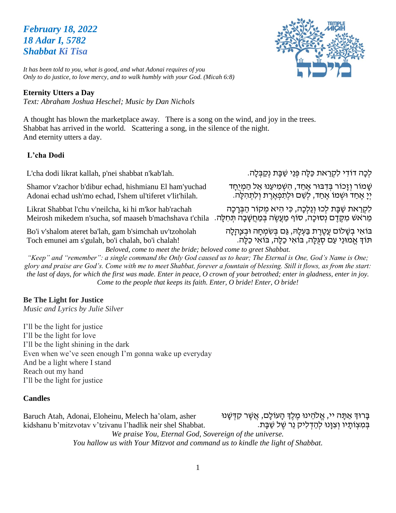# *February 18, 2022 18 Adar I, 5782 Shabbat Ki Tisa*



*It has been told to you, what is good, and what Adonai requires of you Only to do justice, to love mercy, and to walk humbly with your God. (Micah 6:8)*

#### **Eternity Utters a Day**

*Text: Abraham Joshua Heschel; Music by Dan Nichols*

A thought has blown the marketplace away. There is a song on the wind, and joy in the trees. Shabbat has arrived in the world. Scattering a song, in the silence of the night. And eternity utters a day.

#### **L'cha Dodi**

L'cha dodi likrat kallah, p'nei shabbat n'kab'lah.

Shamor v'zachor b'dibur echad, hishmianu El ham'yuchad Adonai echad ush'mo echad, l'shem ul'tiferet v'lit'hilah.

Likrat Shabbat l'chu v'neilcha, ki hi m'kor hab'rachah מֵרֹאשׁ מִקֶּדֶם נְסוּכָה, סוֹף מַעֲשֶׂה בְּמַחֲשָׁבָה תְּחִלָּה. Meirosh mikedem n'sucha, sof maaseh b'machshava t'chila

Bo'i v'shalom ateret ba'lah, gam b'simchah uv'tzoholah Toch emunei am s'gulah, bo'i chalah, bo'i chalah!

לְכָה דוֹדִי לִקְרַאת כַּלָּה פְּנֵי שַׁבָּת נְקַבְּלָה.

ּשָׁ מֹוֹר וְזָכוֹר בִּדְבּוּר אֱחַד, הִשְׁמִיעַנוּ אֱל הַמְיָחָד יִיַ אֶחַד וּשְׁמוֹ אֱחַד, לְשֶׁם וּלִתְפְאֶרֶת וְלִתְהְלָה.

לִקְרַאת שַׁבָּת לְכוּ וְגֵלְכָה, כִּי הִיא מִקוֹר הַבְּרָכָה

בֹו **ָ** אִ י בְ שָ לֹום עֲטֶ רֶ ת בַ עְ לָּה, גַם בְ שִ מְ חָ ה ּובְ צ **ָ**הלָה תֹוְך אֱ מּונֵי עַם סְ גֻלָה, בֹואִ י כַלָה, בֹואִ י כַלָה.

*Beloved, come to meet the bride; beloved come to greet Shabbat.*

*"Keep" and "remember": a single command the Only God caused us to hear; The Eternal is One, God's Name is One; glory and praise are God's. Come with me to meet Shabbat, forever a fountain of blessing. Still it flows, as from the start: the last of days, for which the first was made. Enter in peace, O crown of your betrothed; enter in gladness, enter in joy. Come to the people that keeps its faith. Enter, O bride! Enter, O bride!*

#### **Be The Light for Justice**

*Music and Lyrics by Julie Silver* 

I'll be the light for justice I'll be the light for love I'll be the light shining in the dark Even when we've seen enough I'm gonna wake up everyday And be a light where I stand Reach out my hand I'll be the light for justice

#### **Candles**

Baruch Atah, Adonai, Eloheinu, Melech ha'olam, asher kidshanu b'mitzvotav v'tzivanu l'hadlik neir shel Shabbat. בַּרוּדְּ אַתָּה יי, אֱלֹהֵינוּ מֵלֵדְ הָעוֹלָם, אֲשֶׁר קִדְּשָׁנוּ בִּמְצְוֹתֵיו וְצְוּּנוּ לְהַדְלִיק נֵר שֵׁל שַׁבַּת.

*We praise You, Eternal God, Sovereign of the universe. You hallow us with Your Mitzvot and command us to kindle the light of Shabbat.*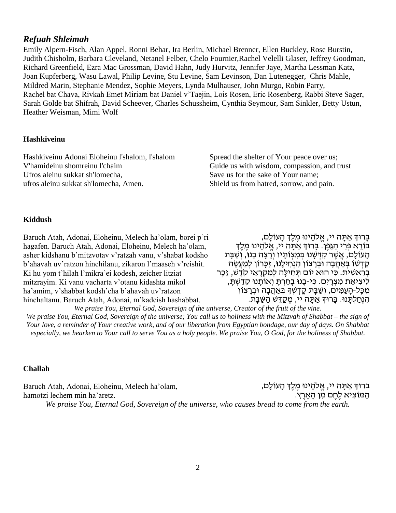#### *Refuah Shleimah*

Emily Alpern-Fisch, Alan Appel, Ronni Behar, Ira Berlin, Michael Brenner, Ellen Buckley, Rose Burstin, Judith Chisholm, Barbara Cleveland, Netanel Felber, Chelo Fournier,Rachel Velelli Glaser, Jeffrey Goodman, Richard Greenfield, Ezra Mac Grossman, David Hahn, Judy Hurvitz, Jennifer Jaye, Martha Lessman Katz, Joan Kupferberg, Wasu Lawal, Philip Levine, Stu Levine, Sam Levinson, Dan Lutenegger, Chris Mahle, Mildred Marin, Stephanie Mendez, Sophie Meyers, Lynda Mulhauser, John Murgo, Robin Parry, Rachel bat Chava, Rivkah Emet Miriam bat Daniel v'Taejin, Lois Rosen, Eric Rosenberg, Rabbi Steve Sager, Sarah Golde bat Shifrah, David Scheever, Charles Schussheim, Cynthia Seymour, Sam Sinkler, Betty Ustun, Heather Weisman, Mimi Wolf

#### **Hashkiveinu**

Hashkiveinu Adonai Eloheinu l'shalom, l'shalom V'hamideinu shomreinu l'chaim Ufros aleinu sukkat sh'lomecha, ufros aleinu sukkat sh'lomecha, Amen.

Spread the shelter of Your peace over us; Guide us with wisdom, compassion, and trust Save us for the sake of Your name; Shield us from hatred, sorrow, and pain.

#### **Kiddush**

Baruch Atah, Adonai, Eloheinu, Melech ha'olam, borei p'ri hagafen. Baruch Atah, Adonai, Eloheinu, Melech ha'olam, asher kidshanu b'mitzvotav v'ratzah vanu, v'shabat kodsho b'ahavah uv'ratzon hinchilanu, zikaron l'maaseh v'reishit. Ki hu yom t'hilah l'mikra'ei kodesh, zeicher litziat mitzrayim. Ki vanu vacharta v'otanu kidashta mikol ha'amim, v'shabbat kodsh'cha b'ahavah uv'ratzon hinchaltanu. Baruch Atah, Adonai, m'kadeish hashabbat.

ָבָרוּךְ אַתָּה יי, אֱלֹהֵינוּ מֵלֵךְ הָעוֹלָם, בּוֹרֵא פְּרִי הַגַּפֵן. בָּרוּךְ אַתַּה יי, אֱלֹהֵינוּ מֶלֶךְ הַעוֹלָם, אֲשֶׁר קִדְּשָׁנוּ בְּמִצְוֹתַיו וְרַצָה בָנוּ, וְשַׁבָּת ְקַדְשׁוֹ בְּאֲהֲבָה וּבְרָצוֹן הִנְחִילֵנוּ, זִכֲרוֹן לִמְעֵשֶׂה בְרֵאשִׁית. כִּי הוּא יוֹם תְּחִילַה לִמְקָרָאֵי קֹדָשׁ, זֶכֶר לִיצִיאַת מִצְרַיִם. כִּי-בָנוּ בַחַרְתַּ וְאוֹתֲנוּ קָדַשְׁתַּ, מִכָּל-הָעַמִּים, וְשַׁבָּת קָדְשְׁךָ בְּאַהֲבָה וּבְרָצוֹן הִנְחַלְתַּנוּ. בַּרוּךְ אַתַּה יי, מְקַדֵּשׁ הַשַּׁבַּת.

*We praise You, Eternal God, Sovereign of the universe, Creator of the fruit of the vine. We praise You, Eternal God, Sovereign of the universe; You call us to holiness with the Mitzvah of Shabbat – the sign of Your love, a reminder of Your creative work, and of our liberation from Egyptian bondage, our day of days. On Shabbat especially, we hearken to Your call to serve You as a holy people. We praise You, O God, for the holiness of Shabbat.*

#### **Challah**

Baruch Atah, Adonai, Eloheinu, Melech ha'olam, hamotzi lechem min ha'aretz. ברוּךְ אַתָּה יי, אֱלֹהֵינוּ מֵלֵךְ הָעוֹלָם, הַ מֹוצִ יא לֶחֶ ם מִ ן הָ אָ רֶ ץ. *We praise You, Eternal God, Sovereign of the universe, who causes bread to come from the earth.*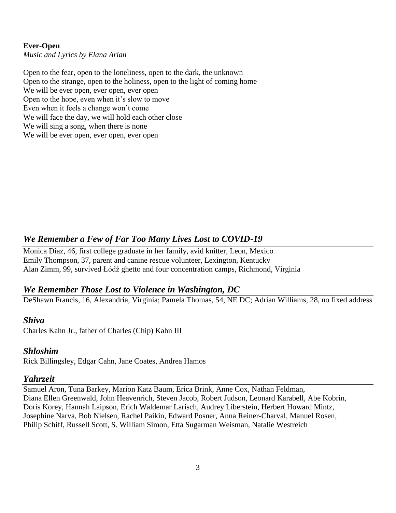#### **Ever-Open**

*Music and Lyrics by Elana Arian* 

Open to the fear, open to the loneliness, open to the dark, the unknown Open to the strange, open to the holiness, open to the light of coming home We will be ever open, ever open, ever open Open to the hope, even when it's slow to move Even when it feels a change won't come We will face the day, we will hold each other close We will sing a song, when there is none We will be ever open, ever open, ever open

## *We Remember a Few of Far Too Many Lives Lost to COVID-19*

Monica Diaz, 46, first college graduate in her family, avid knitter, Leon, Mexico Emily Thompson, 37, parent and canine rescue volunteer, Lexington, Kentucky Alan Zimm, 99, survived Łódź ghetto and four concentration camps, Richmond, Virginia

### *We Remember Those Lost to Violence in Washington, DC*

DeShawn Francis, 16, Alexandria, Virginia; Pamela Thomas, 54, NE DC; Adrian Williams, 28, no fixed address

#### *Shiva*

Charles Kahn Jr., father of Charles (Chip) Kahn III

#### *Shloshim*

Rick Billingsley, Edgar Cahn, Jane Coates, Andrea Hamos

#### *Yahrzeit*

Samuel Aron, Tuna Barkey, Marion Katz Baum, Erica Brink, Anne Cox, Nathan Feldman, Diana Ellen Greenwald, John Heavenrich, Steven Jacob, Robert Judson, Leonard Karabell, Abe Kobrin, Doris Korey, Hannah Laipson, Erich Waldemar Larisch, Audrey Liberstein, Herbert Howard Mintz, Josephine Narva, Bob Nielsen, Rachel Paikin, Edward Posner, Anna Reiner-Charval, Manuel Rosen, Philip Schiff, Russell Scott, S. William Simon, Etta Sugarman Weisman, Natalie Westreich